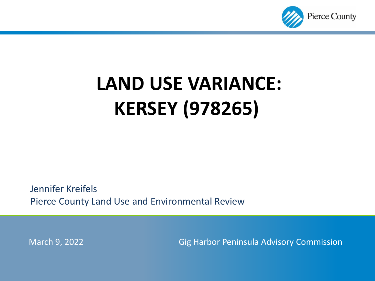

# **LAND USE VARIANCE: KERSEY (978265)**

Jennifer Kreifels Pierce County Land Use and Environmental Review

March 9, 2022 Gig Harbor Peninsula Advisory Commission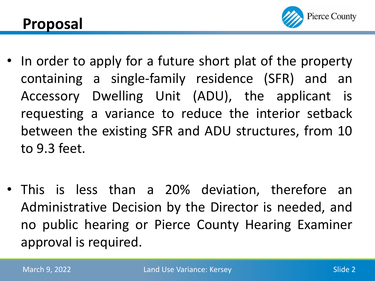

- In order to apply for a future short plat of the property containing a single-family residence (SFR) and an Accessory Dwelling Unit (ADU), the applicant is requesting a variance to reduce the interior setback between the existing SFR and ADU structures, from 10 to 9.3 feet.
- This is less than a 20% deviation, therefore an Administrative Decision by the Director is needed, and no public hearing or Pierce County Hearing Examiner approval is required.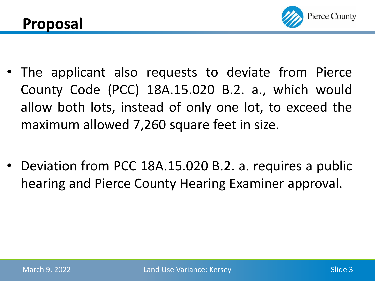

- The applicant also requests to deviate from Pierce County Code (PCC) 18A.15.020 B.2. a., which would allow both lots, instead of only one lot, to exceed the maximum allowed 7,260 square feet in size.
- Deviation from PCC 18A.15.020 B.2. a. requires a public hearing and Pierce County Hearing Examiner approval.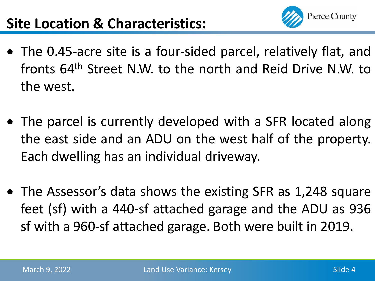

- The 0.45-acre site is a four-sided parcel, relatively flat, and fronts 64<sup>th</sup> Street N.W. to the north and Reid Drive N.W. to the west.
- The parcel is currently developed with a SFR located along the east side and an ADU on the west half of the property. Each dwelling has an individual driveway.
- The Assessor's data shows the existing SFR as 1,248 square feet (sf) with a 440-sf attached garage and the ADU as 936 sf with a 960-sf attached garage. Both were built in 2019.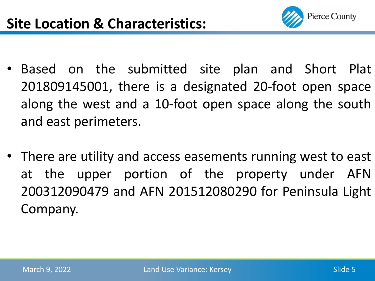

- Based on the submitted site plan and Short Plat 201809145001, there is a designated 20-foot open space along the west and a 10-foot open space along the south and east perimeters.
- There are utility and access easements running west to east at the upper portion of the property under AFN 200312090479 and AFN 201512080290 for Peninsula Light Company.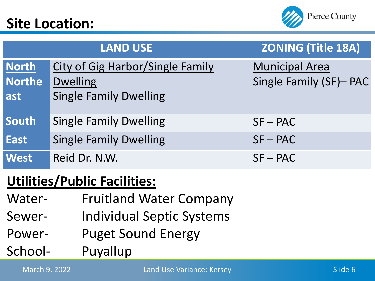#### **Site Location:**



|                                      | <b>LAND USE</b>                                                                             | <b>ZONING (Title 18A)</b>                        |
|--------------------------------------|---------------------------------------------------------------------------------------------|--------------------------------------------------|
| <b>North</b><br><b>Northe</b><br>ast | <b>City of Gig Harbor/Single Family</b><br><b>Dwelling</b><br><b>Single Family Dwelling</b> | <b>Municipal Area</b><br>Single Family (SF)- PAC |
| South                                | <b>Single Family Dwelling</b>                                                               | $SF - PAC$                                       |
| <b>East</b>                          | <b>Single Family Dwelling</b>                                                               | $SF - PAC$                                       |
| <b>West</b>                          | Reid Dr. N.W.                                                                               | $SF - PAC$                                       |

#### **Utilities/Public Facilities:**

- Water- Fruitland Water Company
- Sewer- Individual Septic Systems
- Power- Puget Sound Energy

School- Puyallup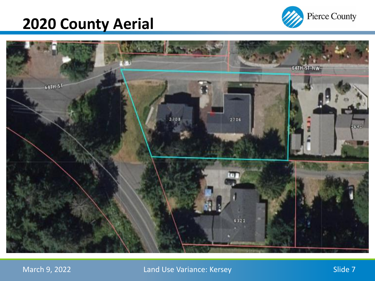### **2020 County Aerial**





March 9, 2022 **Land Use Variance: Kersey Slide 7** Slide 7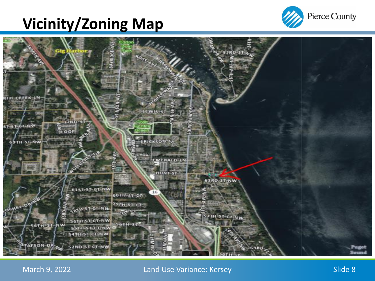## **Vicinity/Zoning Map**





March 9, 2022 **Land Use Variance: Kersey Slide 8** Slide 8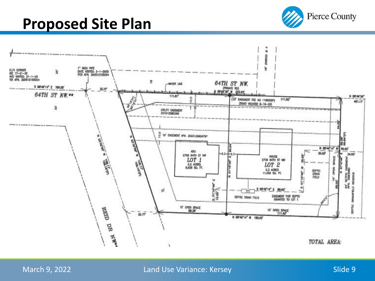#### **Proposed Site Plan**



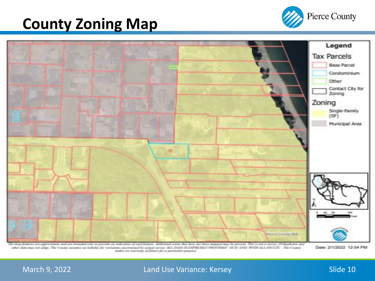#### **County Zoning Map**





turns are approximate and are intended only to previde an ind Additional areas that how not been mapped may be present. This is not a survey, Ori other data may not align. The County assumes no Indulty for variations ancertained by ustual survey. ALL DATA IS EXPRESSET PROVIDED "15 IS AND WITH ALL FIELDS". The County makes no nurranty of Marce for a particular paryone.

Date: 2/1/2022 12:54 PM

#### March 9, 2022 **Land Use Variance: Kersey Slide 10** Slide 10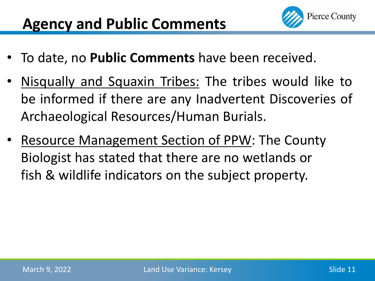

- To date, no **Public Comments** have been received.
- Nisqually and Squaxin Tribes: The tribes would like to be informed if there are any Inadvertent Discoveries of Archaeological Resources/Human Burials.
- Resource Management Section of PPW: The County Biologist has stated that there are no wetlands or fish & wildlife indicators on the subject property.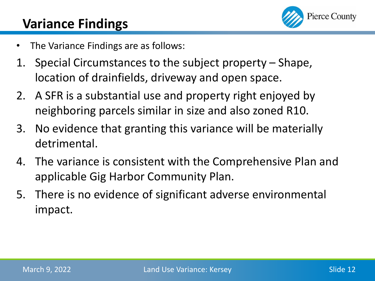

#### **Variance Findings**

- The Variance Findings are as follows:
- 1. Special Circumstances to the subject property Shape, location of drainfields, driveway and open space.
- 2. A SFR is a substantial use and property right enjoyed by neighboring parcels similar in size and also zoned R10.
- 3. No evidence that granting this variance will be materially detrimental.
- 4. The variance is consistent with the Comprehensive Plan and applicable Gig Harbor Community Plan.
- 5. There is no evidence of significant adverse environmental impact.